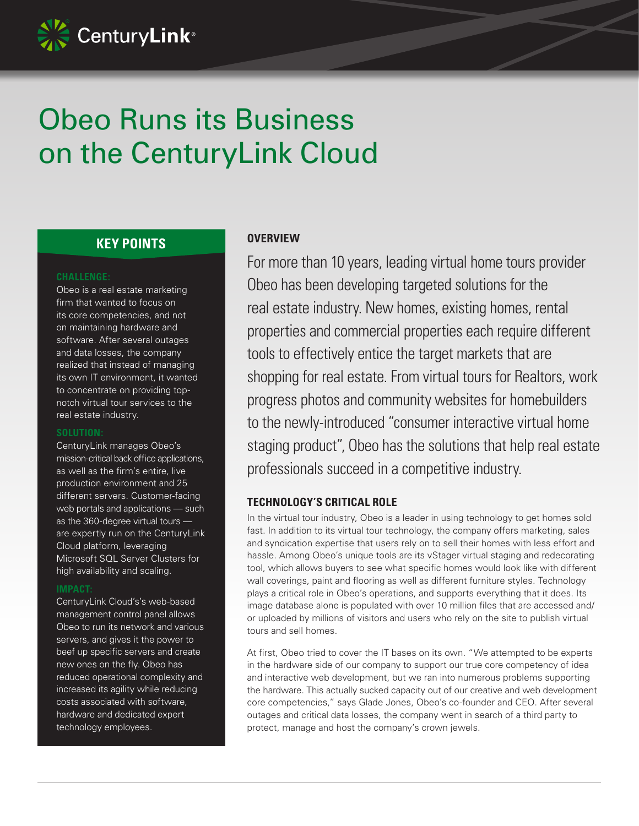

# Obeo Runs its Business on the CenturyLink Cloud

# **KEY POINTS**

#### **CHALLENGE:**

Obeo is a real estate marketing firm that wanted to focus on its core competencies, and not on maintaining hardware and software. After several outages and data losses, the company realized that instead of managing its own IT environment, it wanted to concentrate on providing topnotch virtual tour services to the real estate industry.

#### **SOLUTION:**

CenturyLink manages Obeo's mission-critical back office applications, as well as the firm's entire, live production environment and 25 different servers. Customer-facing web portals and applications — such as the 360-degree virtual tours are expertly run on the CenturyLink Cloud platform, leveraging Microsoft SQL Server Clusters for high availability and scaling.

#### **IMPACT:**

CenturyLink Cloud's's web-based management control panel allows Obeo to run its network and various servers, and gives it the power to beef up specific servers and create new ones on the fly. Obeo has reduced operational complexity and increased its agility while reducing costs associated with software, hardware and dedicated expert technology employees.

#### **OVERVIEW**

For more than 10 years, leading virtual home tours provider Obeo has been developing targeted solutions for the real estate industry. New homes, existing homes, rental properties and commercial properties each require different tools to effectively entice the target markets that are shopping for real estate. From virtual tours for Realtors, work progress photos and community websites for homebuilders to the newly-introduced "consumer interactive virtual home staging product", Obeo has the solutions that help real estate professionals succeed in a competitive industry.

#### **TECHNOLOGY'S CRITICAL ROLE**

In the virtual tour industry, Obeo is a leader in using technology to get homes sold fast. In addition to its virtual tour technology, the company offers marketing, sales and syndication expertise that users rely on to sell their homes with less effort and hassle. Among Obeo's unique tools are its vStager virtual staging and redecorating tool, which allows buyers to see what specific homes would look like with different wall coverings, paint and flooring as well as different furniture styles. Technology plays a critical role in Obeo's operations, and supports everything that it does. Its image database alone is populated with over 10 million files that are accessed and/ or uploaded by millions of visitors and users who rely on the site to publish virtual tours and sell homes.

At first, Obeo tried to cover the IT bases on its own. "We attempted to be experts in the hardware side of our company to support our true core competency of idea and interactive web development, but we ran into numerous problems supporting the hardware. This actually sucked capacity out of our creative and web development core competencies," says Glade Jones, Obeo's co-founder and CEO. After several outages and critical data losses, the company went in search of a third party to protect, manage and host the company's crown jewels.